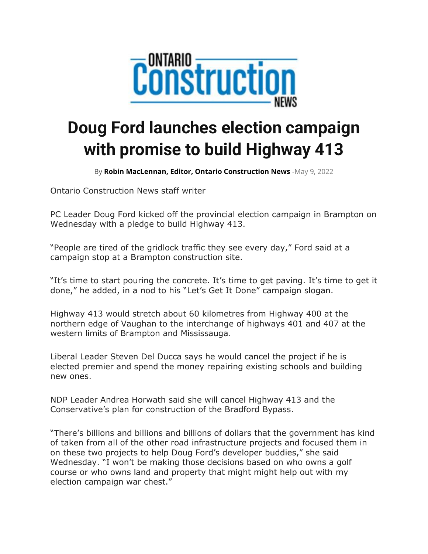

## **Doug Ford launches election campaign with promise to build Highway 413**

By **[Robin MacLennan, Editor, Ontario Construction News](https://ontarioconstructionnews.com/author/robinmac/)** -May 9, 2022

Ontario Construction News staff writer

PC Leader Doug Ford kicked off the provincial election campaign in Brampton on Wednesday with a pledge to build Highway 413.

"People are tired of the gridlock traffic they see every day," Ford said at a campaign stop at a Brampton construction site.

"It's time to start pouring the concrete. It's time to get paving. It's time to get it done," he added, in a nod to his "Let's Get It Done" campaign slogan.

Highway 413 would stretch about 60 kilometres from Highway 400 at the northern edge of Vaughan to the interchange of highways 401 and 407 at the western limits of Brampton and Mississauga.

Liberal Leader Steven Del Ducca says he would cancel the project if he is elected premier and spend the money repairing existing schools and building new ones.

NDP Leader Andrea Horwath said she will cancel Highway 413 and the Conservative's plan for construction of the Bradford Bypass.

"There's billions and billions and billions of dollars that the government has kind of taken from all of the other road infrastructure projects and focused them in on these two projects to help Doug Ford's developer buddies," she said Wednesday. "I won't be making those decisions based on who owns a golf course or who owns land and property that might might help out with my election campaign war chest."